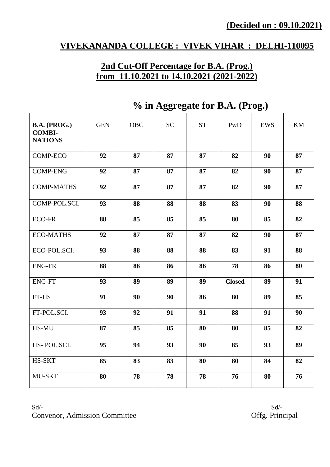#### **VIVEKANANDA COLLEGE : VIVEK VIHAR : DELHI-110095**

# **2nd Cut-Off Percentage for B.A. (Prog.) from 11.10.2021 to 14.10.2021 (2021-2022)**

|                                                 | % in Aggregate for B.A. (Prog.) |            |           |           |               |            |    |
|-------------------------------------------------|---------------------------------|------------|-----------|-----------|---------------|------------|----|
| B.A. (PROG.)<br><b>COMBI-</b><br><b>NATIONS</b> | <b>GEN</b>                      | <b>OBC</b> | <b>SC</b> | <b>ST</b> | PwD           | <b>EWS</b> | KM |
| <b>COMP-ECO</b>                                 | 92                              | 87         | 87        | 87        | 82            | 90         | 87 |
| <b>COMP-ENG</b>                                 | 92                              | 87         | 87        | 87        | 82            | 90         | 87 |
| <b>COMP-MATHS</b>                               | 92                              | 87         | 87        | 87        | 82            | 90         | 87 |
| COMP-POL.SCI.                                   | 93                              | 88         | 88        | 88        | 83            | 90         | 88 |
| <b>ECO-FR</b>                                   | 88                              | 85         | 85        | 85        | 80            | 85         | 82 |
| <b>ECO-MATHS</b>                                | 92                              | 87         | 87        | 87        | 82            | 90         | 87 |
| ECO-POL.SCI.                                    | 93                              | 88         | 88        | 88        | 83            | 91         | 88 |
| <b>ENG-FR</b>                                   | 88                              | 86         | 86        | 86        | 78            | 86         | 80 |
| <b>ENG-FT</b>                                   | 93                              | 89         | 89        | 89        | <b>Closed</b> | 89         | 91 |
| FT-HS                                           | 91                              | 90         | 90        | 86        | 80            | 89         | 85 |
| FT-POL.SCI.                                     | 93                              | 92         | 91        | 91        | 88            | 91         | 90 |
| HS-MU                                           | 87                              | 85         | 85        | 80        | 80            | 85         | 82 |
| HS-POL.SCI.                                     | 95                              | 94         | 93        | 90        | 85            | 93         | 89 |
| HS-SKT                                          | 85                              | 83         | 83        | 80        | 80            | 84         | 82 |
| MU-SKT                                          | 80                              | 78         | 78        | 78        | 76            | 80         | 76 |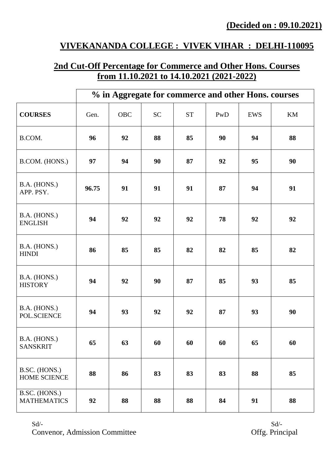## **VIVEKANANDA COLLEGE : VIVEK VIHAR : DELHI-110095**

## **2nd Cut-Off Percentage for Commerce and Other Hons. Courses from 11.10.2021 to 14.10.2021 (2021-2022)**

|                                     |       |            |           |           | % in Aggregate for commerce and other Hons. courses |     |    |
|-------------------------------------|-------|------------|-----------|-----------|-----------------------------------------------------|-----|----|
| <b>COURSES</b>                      | Gen.  | <b>OBC</b> | <b>SC</b> | <b>ST</b> | PwD                                                 | EWS | KM |
| B.COM.                              | 96    | 92         | 88        | 85        | 90                                                  | 94  | 88 |
| B.COM. (HONS.)                      | 97    | 94         | 90        | 87        | 92                                                  | 95  | 90 |
| B.A. (HONS.)<br>APP. PSY.           | 96.75 | 91         | 91        | 91        | 87                                                  | 94  | 91 |
| B.A. (HONS.)<br><b>ENGLISH</b>      | 94    | 92         | 92        | 92        | 78                                                  | 92  | 92 |
| B.A. (HONS.)<br><b>HINDI</b>        | 86    | 85         | 85        | 82        | 82                                                  | 85  | 82 |
| B.A. (HONS.)<br><b>HISTORY</b>      | 94    | 92         | 90        | 87        | 85                                                  | 93  | 85 |
| B.A. (HONS.)<br>POL.SCIENCE         | 94    | 93         | 92        | 92        | 87                                                  | 93  | 90 |
| B.A. (HONS.)<br><b>SANSKRIT</b>     | 65    | 63         | 60        | 60        | 60                                                  | 65  | 60 |
| B.SC. (HONS.)<br>HOME SCIENCE       | 88    | 86         | 83        | 83        | 83                                                  | 88  | 85 |
| B.SC. (HONS.)<br><b>MATHEMATICS</b> | 92    | 88         | 88        | 88        | 84                                                  | 91  | 88 |

 $Sd$ - $Sd$ -Convenor, Admission Committee **Offg. Principal**